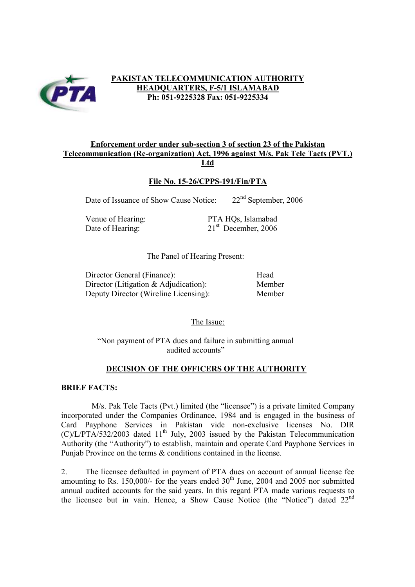

# **PAKISTAN TELECOMMUNICATION AUTHORITY HEADQUARTERS, F-5/1 ISLAMABAD Ph: 051-9225328 Fax: 051-9225334**

## **Enforcement order under sub-section 3 of section 23 of the Pakistan Telecommunication (Re-organization) Act, 1996 against M/s. Pak Tele Tacts (PVT.) Ltd**

## **File No. 15-26/CPPS-191/Fin/PTA**

Date of Issuance of Show Cause Notice: 22<sup>nd</sup> September, 2006

Venue of Hearing: PTA HQs, Islamabad Date of Hearing: 21<sup>st</sup> December, 2006

### The Panel of Hearing Present:

| Director General (Finance):              | Head   |
|------------------------------------------|--------|
| Director (Litigation $\&$ Adjudication): | Member |
| Deputy Director (Wireline Licensing):    | Member |

## The Issue:

"Non payment of PTA dues and failure in submitting annual audited accounts"

## **DECISION OF THE OFFICERS OF THE AUTHORITY**

#### **BRIEF FACTS:**

M/s. Pak Tele Tacts (Pvt.) limited (the "licensee") is a private limited Company incorporated under the Companies Ordinance, 1984 and is engaged in the business of Card Payphone Services in Pakistan vide non-exclusive licenses No. DIR  $(C)/L/PTA/532/2003$  dated 11<sup>th</sup> July, 2003 issued by the Pakistan Telecommunication Authority (the "Authority") to establish, maintain and operate Card Payphone Services in Punjab Province on the terms & conditions contained in the license.

2. The licensee defaulted in payment of PTA dues on account of annual license fee amounting to Rs. 150,000/- for the years ended  $30<sup>th</sup>$  June, 2004 and 2005 nor submitted annual audited accounts for the said years. In this regard PTA made various requests to the licensee but in vain. Hence, a Show Cause Notice (the "Notice") dated 22nd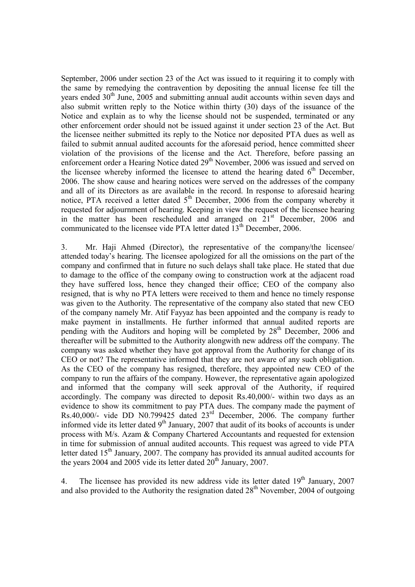September, 2006 under section 23 of the Act was issued to it requiring it to comply with the same by remedying the contravention by depositing the annual license fee till the years ended 30<sup>th</sup> June, 2005 and submitting annual audit accounts within seven days and also submit written reply to the Notice within thirty (30) days of the issuance of the Notice and explain as to why the license should not be suspended, terminated or any other enforcement order should not be issued against it under section 23 of the Act. But the licensee neither submitted its reply to the Notice nor deposited PTA dues as well as failed to submit annual audited accounts for the aforesaid period, hence committed sheer violation of the provisions of the license and the Act. Therefore, before passing an enforcement order a Hearing Notice dated 29<sup>th</sup> November, 2006 was issued and served on the licensee whereby informed the licensee to attend the hearing dated  $6<sup>th</sup>$  December. 2006. The show cause and hearing notices were served on the addresses of the company and all of its Directors as are available in the record. In response to aforesaid hearing notice, PTA received a letter dated  $5<sup>th</sup>$  December, 2006 from the company whereby it requested for adjournment of hearing. Keeping in view the request of the licensee hearing in the matter has been rescheduled and arranged on  $21<sup>st</sup>$  December, 2006 and communicated to the licensee vide PTA letter dated 13<sup>th</sup> December, 2006.

3. Mr. Haji Ahmed (Director), the representative of the company/the licensee/ attended today's hearing. The licensee apologized for all the omissions on the part of the company and confirmed that in future no such delays shall take place. He stated that due to damage to the office of the company owing to construction work at the adjacent road they have suffered loss, hence they changed their office; CEO of the company also resigned, that is why no PTA letters were received to them and hence no timely response was given to the Authority. The representative of the company also stated that new CEO of the company namely Mr. Atif Fayyaz has been appointed and the company is ready to make payment in installments. He further informed that annual audited reports are pending with the Auditors and hoping will be completed by  $28<sup>th</sup>$  December, 2006 and thereafter will be submitted to the Authority alongwith new address off the company. The company was asked whether they have got approval from the Authority for change of its CEO or not? The representative informed that they are not aware of any such obligation. As the CEO of the company has resigned, therefore, they appointed new CEO of the company to run the affairs of the company. However, the representative again apologized and informed that the company will seek approval of the Authority, if required accordingly. The company was directed to deposit Rs.40,000/- within two days as an evidence to show its commitment to pay PTA dues. The company made the payment of Rs.40,000/- vide DD N0.799425 dated  $23<sup>rd</sup>$  December, 2006. The company further informed vide its letter dated  $9<sup>th</sup>$  January, 2007 that audit of its books of accounts is under process with M/s. Azam & Company Chartered Accountants and requested for extension in time for submission of annual audited accounts. This request was agreed to vide PTA letter dated  $15<sup>th</sup>$  January, 2007. The company has provided its annual audited accounts for the years 2004 and 2005 vide its letter dated  $20<sup>th</sup>$  January, 2007.

4. The licensee has provided its new address vide its letter dated 19<sup>th</sup> January, 2007 and also provided to the Authority the resignation dated  $28<sup>th</sup>$  November, 2004 of outgoing